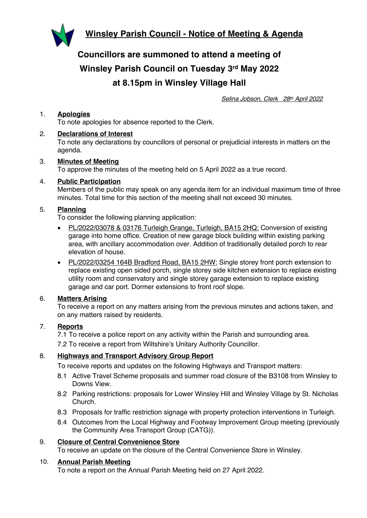**Winsley Parish Council - Notice of Meeting & Agenda**



**Councillors are summoned to attend a meeting of Winsley Parish Council on Tuesday 3rd May 2022 at 8.15pm in Winsley Village Hall**

*Selina Jobson, Clerk 28th April 2022*

# 1. **Apologies**

To note apologies for absence reported to the Clerk.

## 2. **Declarations of Interest**

To note any declarations by councillors of personal or prejudicial interests in matters on the agenda.

# 3. **Minutes of Meeting**

To approve the minutes of the meeting held on 5 April 2022 as a true record.

## 4. **Public Participation**

Members of the public may speak on any agenda item for an individual maximum time of three minutes. Total time for this section of the meeting shall not exceed 30 minutes.

## 5. **Planning**

To consider the following planning application:

- PL/2022/03078 & 03176 Turleigh Grange, Turleigh, BA15 2HQ: Conversion of existing garage into home office. Creation of new garage block building within existing parking area, with ancillary accommodation over. Addition of traditionally detailed porch to rear elevation of house.
- PL/2022/03254 164B Bradford Road, BA15 2HW: Single storey front porch extension to replace existing open sided porch, single storey side kitchen extension to replace existing utility room and conservatory and single storey garage extension to replace existing garage and car port. Dormer extensions to front roof slope.

#### 6. **Matters Arising**

To receive a report on any matters arising from the previous minutes and actions taken, and on any matters raised by residents.

#### 7. **Reports**

7.1 To receive a police report on any activity within the Parish and surrounding area.

7.2 To receive a report from Wiltshire's Unitary Authority Councillor.

# 8. **Highways and Transport Advisory Group Report**

To receive reports and updates on the following Highways and Transport matters:

- 8.1 Active Travel Scheme proposals and summer road closure of the B3108 from Winsley to Downs View.
- 8.2 Parking restrictions: proposals for Lower Winsley Hill and Winsley Village by St. Nicholas Church.
- 8.3 Proposals for traffic restriction signage with property protection interventions in Turleigh.
- 8.4 Outcomes from the Local Highway and Footway Improvement Group meeting (previously the Community Area Transport Group (CATG)).

#### 9. **Closure of Central Convenience Store**

To receive an update on the closure of the Central Convenience Store in Winsley.

#### 10. **Annual Parish Meeting**

To note a report on the Annual Parish Meeting held on 27 April 2022.